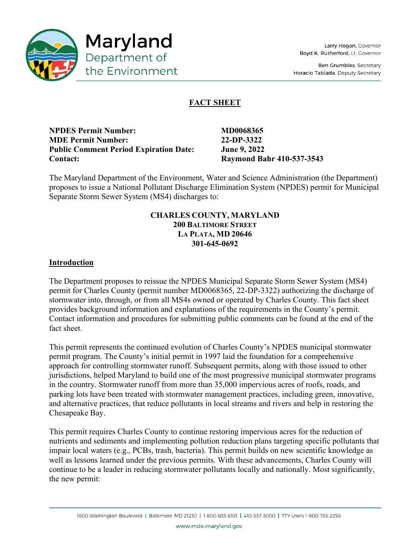

Ben Grumbles, Secretary Horacio Tablada, Deputy Secretary

# **FACT SHEET**

**NPDES Permit Number: MD0068365 MDE Permit Number: 22-DP-3322 Public Comment Period Expiration Date: June 9, 2022 Contact: Raymond Bahr 410-537-3543** 

The Maryland Department of the Environment, Water and Science Administration (the Department) proposes to issue a National Pollutant Discharge Elimination System (NPDES) permit for Municipal Separate Storm Sewer System (MS4) discharges to:

# **CHARLES COUNTY, MARYLAND 200 BALTIMORE STREET LA PLATA, MD 20646 301-645-0692**

### **Introduction**

The Department proposes to reissue the NPDES Municipal Separate Storm Sewer System (MS4) permit for Charles County (permit number MD0068365, 22-DP-3322) authorizing the discharge of stormwater into, through, or from all MS4s owned or operated by Charles County. This fact sheet provides background information and explanations of the requirements in the County's permit. Contact information and procedures for submitting public comments can be found at the end of the fact sheet.

This permit represents the continued evolution of Charles County's NPDES municipal stormwater permit program. The County's initial permit in 1997 laid the foundation for a comprehensive approach for controlling stormwater runoff. Subsequent permits, along with those issued to other jurisdictions, helped Maryland to build one of the most progressive municipal stormwater programs in the country. Stormwater runoff from more than 35,000 impervious acres of roofs, roads, and parking lots have been treated with stormwater management practices, including green, innovative, and alternative practices, that reduce pollutants in local streams and rivers and help in restoring the Chesapeake Bay.

This permit requires Charles County to continue restoring impervious acres for the reduction of nutrients and sediments and implementing pollution reduction plans targeting specific pollutants that impair local waters (e.g., PCBs, trash, bacteria). This permit builds on new scientific knowledge as well as lessons learned under the previous permits. With these advancements, Charles County will continue to be a leader in reducing stormwater pollutants locally and nationally. Most significantly, the new permit: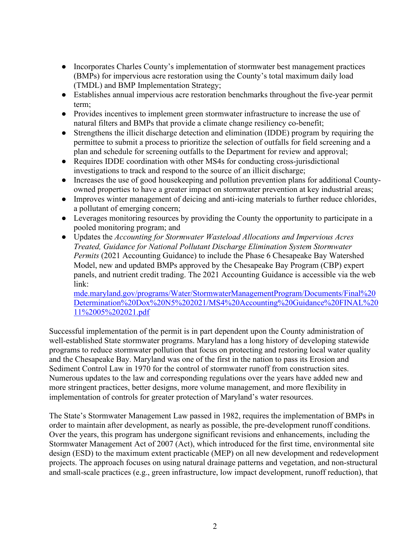- Incorporates Charles County's implementation of stormwater best management practices (BMPs) for impervious acre restoration using the County's total maximum daily load (TMDL) and BMP Implementation Strategy;
- Establishes annual impervious acre restoration benchmarks throughout the five-year permit term;
- Provides incentives to implement green stormwater infrastructure to increase the use of natural filters and BMPs that provide a climate change resiliency co-benefit;
- Strengthens the illicit discharge detection and elimination (IDDE) program by requiring the permittee to submit a process to prioritize the selection of outfalls for field screening and a plan and schedule for screening outfalls to the Department for review and approval;
- Requires IDDE coordination with other MS4s for conducting cross-jurisdictional investigations to track and respond to the source of an illicit discharge;
- Increases the use of good housekeeping and pollution prevention plans for additional Countyowned properties to have a greater impact on stormwater prevention at key industrial areas;
- Improves winter management of deicing and anti-icing materials to further reduce chlorides, a pollutant of emerging concern;
- Leverages monitoring resources by providing the County the opportunity to participate in a pooled monitoring program; and
- Updates the *Accounting for Stormwater Wasteload Allocations and Impervious Acres Treated, Guidance for National Pollutant Discharge Elimination System Stormwater Permits* (2021 Accounting Guidance) to include the Phase 6 Chesapeake Bay Watershed Model, new and updated BMPs approved by the Chesapeake Bay Program (CBP) expert panels, and nutrient credit trading. The 2021 Accounting Guidance is accessible via the web link:

[mde.maryland.gov/programs/Water/StormwaterManagementProgram/Documents/Final%20](https://mde.maryland.gov/programs/Water/StormwaterManagementProgram/Documents/Final%20Determination%20Dox%20N5%202021/MS4%20Accounting%20Guidance%20FINAL%2011%2005%202021.pdf) [Determination%20Dox%20N5%202021/MS4%20Accounting%20Guidance%20FINAL%20](https://mde.maryland.gov/programs/Water/StormwaterManagementProgram/Documents/Final%20Determination%20Dox%20N5%202021/MS4%20Accounting%20Guidance%20FINAL%2011%2005%202021.pdf) [11%2005%202021.pdf](https://mde.maryland.gov/programs/Water/StormwaterManagementProgram/Documents/Final%20Determination%20Dox%20N5%202021/MS4%20Accounting%20Guidance%20FINAL%2011%2005%202021.pdf)

Successful implementation of the permit is in part dependent upon the County administration of well-established State stormwater programs. Maryland has a long history of developing statewide programs to reduce stormwater pollution that focus on protecting and restoring local water quality and the Chesapeake Bay. Maryland was one of the first in the nation to pass its Erosion and Sediment Control Law in 1970 for the control of stormwater runoff from construction sites. Numerous updates to the law and corresponding regulations over the years have added new and more stringent practices, better designs, more volume management, and more flexibility in implementation of controls for greater protection of Maryland's water resources.

The State's Stormwater Management Law passed in 1982, requires the implementation of BMPs in order to maintain after development, as nearly as possible, the pre-development runoff conditions. Over the years, this program has undergone significant revisions and enhancements, including the Stormwater Management Act of 2007 (Act), which introduced for the first time, environmental site design (ESD) to the maximum extent practicable (MEP) on all new development and redevelopment projects. The approach focuses on using natural drainage patterns and vegetation, and non-structural and small-scale practices (e.g., green infrastructure, low impact development, runoff reduction), that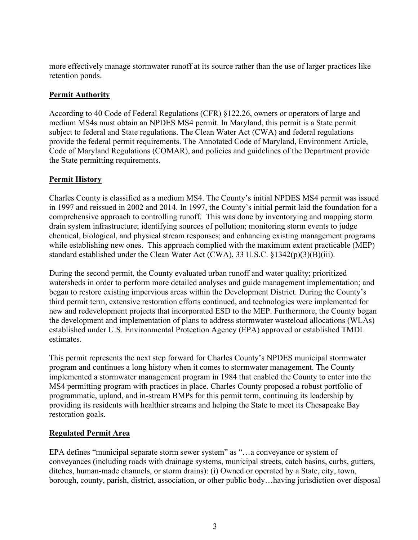more effectively manage stormwater runoff at its source rather than the use of larger practices like retention ponds.

# **Permit Authority**

According to 40 Code of Federal Regulations (CFR) §122.26, owners or operators of large and medium MS4s must obtain an NPDES MS4 permit. In Maryland, this permit is a State permit subject to federal and State regulations. The Clean Water Act (CWA) and federal regulations provide the federal permit requirements. The Annotated Code of Maryland, Environment Article, Code of Maryland Regulations (COMAR), and policies and guidelines of the Department provide the State permitting requirements.

# **Permit History**

Charles County is classified as a medium MS4. The County's initial NPDES MS4 permit was issued in 1997 and reissued in 2002 and 2014. In 1997, the County's initial permit laid the foundation for a comprehensive approach to controlling runoff. This was done by inventorying and mapping storm drain system infrastructure; identifying sources of pollution; monitoring storm events to judge chemical, biological, and physical stream responses; and enhancing existing management programs while establishing new ones. This approach complied with the maximum extent practicable (MEP) standard established under the Clean Water Act (CWA), 33 U.S.C. §1342(p)(3)(B)(iii).

During the second permit, the County evaluated urban runoff and water quality; prioritized watersheds in order to perform more detailed analyses and guide management implementation; and began to restore existing impervious areas within the Development District. During the County's third permit term, extensive restoration efforts continued, and technologies were implemented for new and redevelopment projects that incorporated ESD to the MEP. Furthermore, the County began the development and implementation of plans to address stormwater wasteload allocations (WLAs) established under U.S. Environmental Protection Agency (EPA) approved or established TMDL estimates.

This permit represents the next step forward for Charles County's NPDES municipal stormwater program and continues a long history when it comes to stormwater management. The County implemented a stormwater management program in 1984 that enabled the County to enter into the MS4 permitting program with practices in place. Charles County proposed a robust portfolio of programmatic, upland, and in-stream BMPs for this permit term, continuing its leadership by providing its residents with healthier streams and helping the State to meet its Chesapeake Bay restoration goals.

# **Regulated Permit Area**

EPA defines "municipal separate storm sewer system" as "…a conveyance or system of conveyances (including roads with drainage systems, municipal streets, catch basins, curbs, gutters, ditches, human-made channels, or storm drains): (i) Owned or operated by a State, city, town, borough, county, parish, district, association, or other public body…having jurisdiction over disposal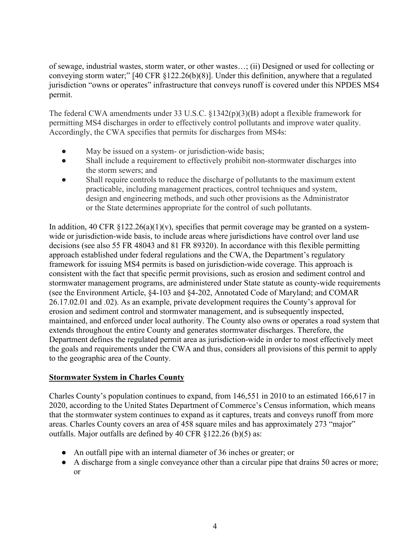of sewage, industrial wastes, storm water, or other wastes…; (ii) Designed or used for collecting or conveying storm water;" [40 CFR §122.26(b)(8)]. Under this definition, anywhere that a regulated jurisdiction "owns or operates" infrastructure that conveys runoff is covered under this NPDES MS4 permit.

The federal CWA amendments under 33 U.S.C. §1342(p)(3)(B) adopt a flexible framework for permitting MS4 discharges in order to effectively control pollutants and improve water quality. Accordingly, the CWA specifies that permits for discharges from MS4s:

- May be issued on a system- or jurisdiction-wide basis;
- Shall include a requirement to effectively prohibit non-stormwater discharges into the storm sewers; and
- Shall require controls to reduce the discharge of pollutants to the maximum extent practicable, including management practices, control techniques and system, design and engineering methods, and such other provisions as the Administrator or the State determines appropriate for the control of such pollutants.

In addition, 40 CFR  $\S 122.26(a)(1)(v)$ , specifies that permit coverage may be granted on a systemwide or jurisdiction-wide basis, to include areas where jurisdictions have control over land use decisions (see also 55 FR 48043 and 81 FR 89320). In accordance with this flexible permitting approach established under federal regulations and the CWA, the Department's regulatory framework for issuing MS4 permits is based on jurisdiction-wide coverage. This approach is consistent with the fact that specific permit provisions, such as erosion and sediment control and stormwater management programs, are administered under State statute as county-wide requirements (see the Environment Article, §4-103 and §4-202, Annotated Code of Maryland; and COMAR 26.17.02.01 and .02). As an example, private development requires the County's approval for erosion and sediment control and stormwater management, and is subsequently inspected, maintained, and enforced under local authority. The County also owns or operates a road system that extends throughout the entire County and generates stormwater discharges. Therefore, the Department defines the regulated permit area as jurisdiction-wide in order to most effectively meet the goals and requirements under the CWA and thus, considers all provisions of this permit to apply to the geographic area of the County.

# **Stormwater System in Charles County**

Charles County's population continues to expand, from 146,551 in 2010 to an estimated 166,617 in 2020, according to the United States Department of Commerce's Census information, which means that the stormwater system continues to expand as it captures, treats and conveys runoff from more areas. Charles County covers an area of 458 square miles and has approximately 273 "major" outfalls. Major outfalls are defined by 40 CFR §122.26 (b)(5) as:

- An outfall pipe with an internal diameter of 36 inches or greater; or
- A discharge from a single conveyance other than a circular pipe that drains 50 acres or more; or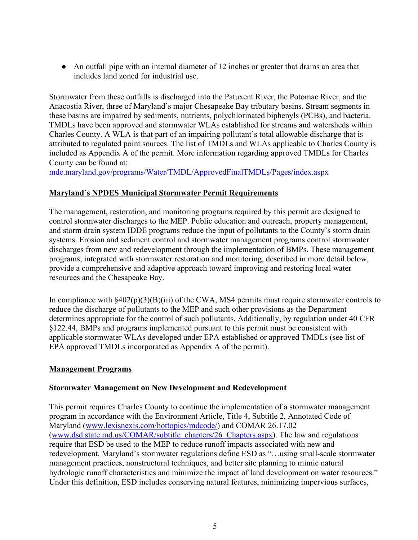● An outfall pipe with an internal diameter of 12 inches or greater that drains an area that includes land zoned for industrial use.

Stormwater from these outfalls is discharged into the Patuxent River, the Potomac River, and the Anacostia River, three of Maryland's major Chesapeake Bay tributary basins. Stream segments in these basins are impaired by sediments, nutrients, polychlorinated biphenyls (PCBs), and bacteria. TMDLs have been approved and stormwater WLAs established for streams and watersheds within Charles County. A WLA is that part of an impairing pollutant's total allowable discharge that is attributed to regulated point sources. The list of TMDLs and WLAs applicable to Charles County is included as Appendix A of the permit. More information regarding approved TMDLs for Charles County can be found at:

<mde.maryland.gov/programs/Water/TMDL/ApprovedFinalTMDLs/Pages/index.aspx>

# **Maryland's NPDES Municipal Stormwater Permit Requirements**

The management, restoration, and monitoring programs required by this permit are designed to control stormwater discharges to the MEP. Public education and outreach, property management, and storm drain system IDDE programs reduce the input of pollutants to the County's storm drain systems. Erosion and sediment control and stormwater management programs control stormwater discharges from new and redevelopment through the implementation of BMPs. These management programs, integrated with stormwater restoration and monitoring, described in more detail below, provide a comprehensive and adaptive approach toward improving and restoring local water resources and the Chesapeake Bay.

In compliance with  $§402(p)(3)(B)(iii)$  of the CWA, MS4 permits must require stormwater controls to reduce the discharge of pollutants to the MEP and such other provisions as the Department determines appropriate for the control of such pollutants. Additionally, by regulation under 40 CFR §122.44, BMPs and programs implemented pursuant to this permit must be consistent with applicable stormwater WLAs developed under EPA established or approved TMDLs (see list of EPA approved TMDLs incorporated as Appendix A of the permit).

# **Management Programs**

#### **Stormwater Management on New Development and Redevelopment**

This permit requires Charles County to continue the implementation of a stormwater management program in accordance with the Environment Article, Title 4, Subtitle 2, Annotated Code of Maryland [\(www.lexisnexis.com/hottopics/mdcode/\)](www.lexisnexis.com/hottopics/mdcode/) and COMAR 26.17.02 [\(www.dsd.state.md.us/COMAR/subtitle\\_chapters/26\\_Chapters.aspx\)](www.dsd.state.md.us/comar/subtitle_chapters/26_Chapters.aspx). The law and regulations require that ESD be used to the MEP to reduce runoff impacts associated with new and redevelopment. Maryland's stormwater regulations define ESD as "…using small-scale stormwater management practices, nonstructural techniques, and better site planning to mimic natural hydrologic runoff characteristics and minimize the impact of land development on water resources." Under this definition, ESD includes conserving natural features, minimizing impervious surfaces,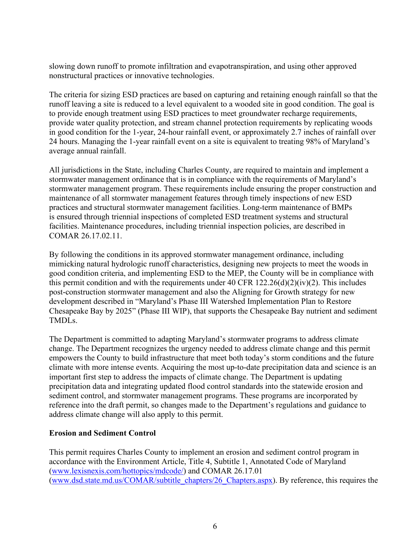slowing down runoff to promote infiltration and evapotranspiration, and using other approved nonstructural practices or innovative technologies.

The criteria for sizing ESD practices are based on capturing and retaining enough rainfall so that the runoff leaving a site is reduced to a level equivalent to a wooded site in good condition. The goal is to provide enough treatment using ESD practices to meet groundwater recharge requirements, provide water quality protection, and stream channel protection requirements by replicating woods in good condition for the 1-year, 24-hour rainfall event, or approximately 2.7 inches of rainfall over 24 hours. Managing the 1-year rainfall event on a site is equivalent to treating 98% of Maryland's average annual rainfall.

All jurisdictions in the State, including Charles County, are required to maintain and implement a stormwater management ordinance that is in compliance with the requirements of Maryland's stormwater management program. These requirements include ensuring the proper construction and maintenance of all stormwater management features through timely inspections of new ESD practices and structural stormwater management facilities. Long-term maintenance of BMPs is ensured through triennial inspections of completed ESD treatment systems and structural facilities. Maintenance procedures, including triennial inspection policies, are described in COMAR 26.17.02.11.

By following the conditions in its approved stormwater management ordinance, including mimicking natural hydrologic runoff characteristics, designing new projects to meet the woods in good condition criteria, and implementing ESD to the MEP, the County will be in compliance with this permit condition and with the requirements under 40 CFR  $122.26(d)(2)(iv)(2)$ . This includes post-construction stormwater management and also the Aligning for Growth strategy for new development described in "Maryland's Phase III Watershed Implementation Plan to Restore Chesapeake Bay by 2025" (Phase III WIP), that supports the Chesapeake Bay nutrient and sediment TMDLs.

The Department is committed to adapting Maryland's stormwater programs to address climate change. The Department recognizes the urgency needed to address climate change and this permit empowers the County to build infrastructure that meet both today's storm conditions and the future climate with more intense events. Acquiring the most up-to-date precipitation data and science is an important first step to address the impacts of climate change. The Department is updating precipitation data and integrating updated flood control standards into the statewide erosion and sediment control, and stormwater management programs. These programs are incorporated by reference into the draft permit, so changes made to the Department's regulations and guidance to address climate change will also apply to this permit.

# **Erosion and Sediment Control**

This permit requires Charles County to implement an erosion and sediment control program in accordance with the Environment Article, Title 4, Subtitle 1, Annotated Code of Maryland [\(www.lexisnexis.com/hottopics/mdcode/\)](www.lexisnexis.com/hottopics/mdcode/) and COMAR 26.17.01 [\(www.dsd.state.md.us/COMAR/subtitle\\_chapters/26\\_Chapters.aspx\)](www.dsd.state.md.us/comar/subtitle_chapters/26_Chapters.aspx). By reference, this requires the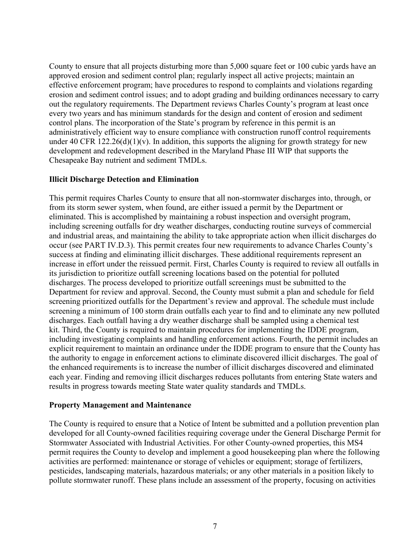County to ensure that all projects disturbing more than 5,000 square feet or 100 cubic yards have an approved erosion and sediment control plan; regularly inspect all active projects; maintain an effective enforcement program; have procedures to respond to complaints and violations regarding erosion and sediment control issues; and to adopt grading and building ordinances necessary to carry out the regulatory requirements. The Department reviews Charles County's program at least once every two years and has minimum standards for the design and content of erosion and sediment control plans. The incorporation of the State's program by reference in this permit is an administratively efficient way to ensure compliance with construction runoff control requirements under 40 CFR  $122.26(d)(1)(v)$ . In addition, this supports the aligning for growth strategy for new development and redevelopment described in the Maryland Phase III WIP that supports the Chesapeake Bay nutrient and sediment TMDLs.

### **Illicit Discharge Detection and Elimination**

This permit requires Charles County to ensure that all non-stormwater discharges into, through, or from its storm sewer system, when found, are either issued a permit by the Department or eliminated. This is accomplished by maintaining a robust inspection and oversight program, including screening outfalls for dry weather discharges, conducting routine surveys of commercial and industrial areas, and maintaining the ability to take appropriate action when illicit discharges do occur (see PART IV.D.3). This permit creates four new requirements to advance Charles County's success at finding and eliminating illicit discharges. These additional requirements represent an increase in effort under the reissued permit. First, Charles County is required to review all outfalls in its jurisdiction to prioritize outfall screening locations based on the potential for polluted discharges. The process developed to prioritize outfall screenings must be submitted to the Department for review and approval. Second, the County must submit a plan and schedule for field screening prioritized outfalls for the Department's review and approval. The schedule must include screening a minimum of 100 storm drain outfalls each year to find and to eliminate any new polluted discharges. Each outfall having a dry weather discharge shall be sampled using a chemical test kit. Third, the County is required to maintain procedures for implementing the IDDE program, including investigating complaints and handling enforcement actions. Fourth, the permit includes an explicit requirement to maintain an ordinance under the IDDE program to ensure that the County has the authority to engage in enforcement actions to eliminate discovered illicit discharges. The goal of the enhanced requirements is to increase the number of illicit discharges discovered and eliminated each year. Finding and removing illicit discharges reduces pollutants from entering State waters and results in progress towards meeting State water quality standards and TMDLs.

#### **Property Management and Maintenance**

The County is required to ensure that a Notice of Intent be submitted and a pollution prevention plan developed for all County-owned facilities requiring coverage under the General Discharge Permit for Stormwater Associated with Industrial Activities. For other County-owned properties, this MS4 permit requires the County to develop and implement a good housekeeping plan where the following activities are performed: maintenance or storage of vehicles or equipment; storage of fertilizers, pesticides, landscaping materials, hazardous materials; or any other materials in a position likely to pollute stormwater runoff. These plans include an assessment of the property, focusing on activities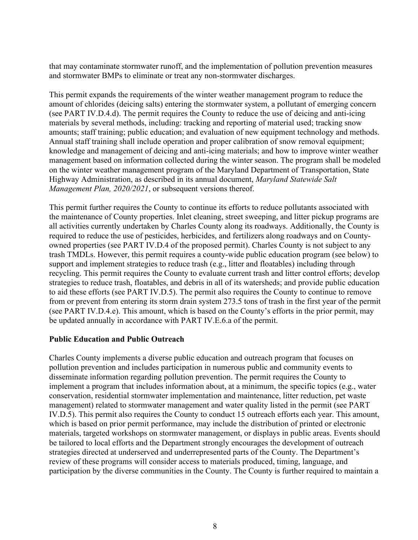that may contaminate stormwater runoff, and the implementation of pollution prevention measures and stormwater BMPs to eliminate or treat any non-stormwater discharges.

This permit expands the requirements of the winter weather management program to reduce the amount of chlorides (deicing salts) entering the stormwater system, a pollutant of emerging concern (see PART IV.D.4.d). The permit requires the County to reduce the use of deicing and anti-icing materials by several methods, including: tracking and reporting of material used; tracking snow amounts; staff training; public education; and evaluation of new equipment technology and methods. Annual staff training shall include operation and proper calibration of snow removal equipment; knowledge and management of deicing and anti-icing materials; and how to improve winter weather management based on information collected during the winter season. The program shall be modeled on the winter weather management program of the Maryland Department of Transportation, State Highway Administration, as described in its annual document, *Maryland Statewide Salt Management Plan, 2020/2021*, or subsequent versions thereof.

This permit further requires the County to continue its efforts to reduce pollutants associated with the maintenance of County properties. Inlet cleaning, street sweeping, and litter pickup programs are all activities currently undertaken by Charles County along its roadways. Additionally, the County is required to reduce the use of pesticides, herbicides, and fertilizers along roadways and on Countyowned properties (see PART IV.D.4 of the proposed permit). Charles County is not subject to any trash TMDLs. However, this permit requires a county-wide public education program (see below) to support and implement strategies to reduce trash (e.g., litter and floatables) including through recycling. This permit requires the County to evaluate current trash and litter control efforts; develop strategies to reduce trash, floatables, and debris in all of its watersheds; and provide public education to aid these efforts (see PART IV.D.5). The permit also requires the County to continue to remove from or prevent from entering its storm drain system 273.5 tons of trash in the first year of the permit (see PART IV.D.4.e). This amount, which is based on the County's efforts in the prior permit, may be updated annually in accordance with PART IV.E.6.a of the permit.

#### **Public Education and Public Outreach**

Charles County implements a diverse public education and outreach program that focuses on pollution prevention and includes participation in numerous public and community events to disseminate information regarding pollution prevention. The permit requires the County to implement a program that includes information about, at a minimum, the specific topics (e.g., water conservation, residential stormwater implementation and maintenance, litter reduction, pet waste management) related to stormwater management and water quality listed in the permit (see PART IV.D.5). This permit also requires the County to conduct 15 outreach efforts each year. This amount, which is based on prior permit performance, may include the distribution of printed or electronic materials, targeted workshops on stormwater management, or displays in public areas. Events should be tailored to local efforts and the Department strongly encourages the development of outreach strategies directed at underserved and underrepresented parts of the County. The Department's review of these programs will consider access to materials produced, timing, language, and participation by the diverse communities in the County. The County is further required to maintain a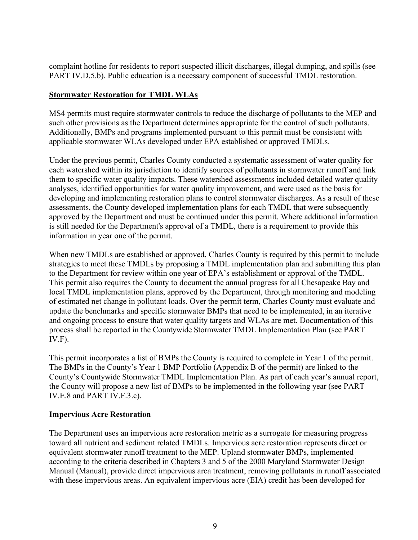complaint hotline for residents to report suspected illicit discharges, illegal dumping, and spills (see PART IV.D.5.b). Public education is a necessary component of successful TMDL restoration.

### **Stormwater Restoration for TMDL WLAs**

MS4 permits must require stormwater controls to reduce the discharge of pollutants to the MEP and such other provisions as the Department determines appropriate for the control of such pollutants. Additionally, BMPs and programs implemented pursuant to this permit must be consistent with applicable stormwater WLAs developed under EPA established or approved TMDLs.

Under the previous permit, Charles County conducted a systematic assessment of water quality for each watershed within its jurisdiction to identify sources of pollutants in stormwater runoff and link them to specific water quality impacts. These watershed assessments included detailed water quality analyses, identified opportunities for water quality improvement, and were used as the basis for developing and implementing restoration plans to control stormwater discharges. As a result of these assessments, the County developed implementation plans for each TMDL that were subsequently approved by the Department and must be continued under this permit. Where additional information is still needed for the Department's approval of a TMDL, there is a requirement to provide this information in year one of the permit.

When new TMDLs are established or approved, Charles County is required by this permit to include strategies to meet these TMDLs by proposing a TMDL implementation plan and submitting this plan to the Department for review within one year of EPA's establishment or approval of the TMDL. This permit also requires the County to document the annual progress for all Chesapeake Bay and local TMDL implementation plans, approved by the Department, through monitoring and modeling of estimated net change in pollutant loads. Over the permit term, Charles County must evaluate and update the benchmarks and specific stormwater BMPs that need to be implemented, in an iterative and ongoing process to ensure that water quality targets and WLAs are met. Documentation of this process shall be reported in the Countywide Stormwater TMDL Implementation Plan (see PART IV.F).

This permit incorporates a list of BMPs the County is required to complete in Year 1 of the permit. The BMPs in the County's Year 1 BMP Portfolio (Appendix B of the permit) are linked to the County's Countywide Stormwater TMDL Implementation Plan. As part of each year's annual report, the County will propose a new list of BMPs to be implemented in the following year (see PART IV.E.8 and PART IV.F.3.c).

#### **Impervious Acre Restoration**

The Department uses an impervious acre restoration metric as a surrogate for measuring progress toward all nutrient and sediment related TMDLs. Impervious acre restoration represents direct or equivalent stormwater runoff treatment to the MEP. Upland stormwater BMPs, implemented according to the criteria described in Chapters 3 and 5 of the 2000 Maryland Stormwater Design Manual (Manual), provide direct impervious area treatment, removing pollutants in runoff associated with these impervious areas. An equivalent impervious acre (EIA) credit has been developed for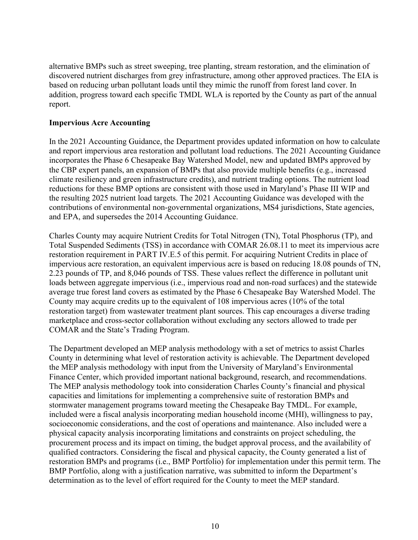alternative BMPs such as street sweeping, tree planting, stream restoration, and the elimination of discovered nutrient discharges from grey infrastructure, among other approved practices. The EIA is based on reducing urban pollutant loads until they mimic the runoff from forest land cover. In addition, progress toward each specific TMDL WLA is reported by the County as part of the annual report.

#### **Impervious Acre Accounting**

In the 2021 Accounting Guidance, the Department provides updated information on how to calculate and report impervious area restoration and pollutant load reductions. The 2021 Accounting Guidance incorporates the Phase 6 Chesapeake Bay Watershed Model, new and updated BMPs approved by the CBP expert panels, an expansion of BMPs that also provide multiple benefits (e.g., increased climate resiliency and green infrastructure credits), and nutrient trading options. The nutrient load reductions for these BMP options are consistent with those used in Maryland's Phase III WIP and the resulting 2025 nutrient load targets. The 2021 Accounting Guidance was developed with the contributions of environmental non-governmental organizations, MS4 jurisdictions, State agencies, and EPA, and supersedes the 2014 Accounting Guidance.

Charles County may acquire Nutrient Credits for Total Nitrogen (TN), Total Phosphorus (TP), and Total Suspended Sediments (TSS) in accordance with COMAR 26.08.11 to meet its impervious acre restoration requirement in PART IV.E.5 of this permit. For acquiring Nutrient Credits in place of impervious acre restoration, an equivalent impervious acre is based on reducing 18.08 pounds of TN, 2.23 pounds of TP, and 8,046 pounds of TSS. These values reflect the difference in pollutant unit loads between aggregate impervious (i.e., impervious road and non-road surfaces) and the statewide average true forest land covers as estimated by the Phase 6 Chesapeake Bay Watershed Model. The County may acquire credits up to the equivalent of 108 impervious acres (10% of the total restoration target) from wastewater treatment plant sources. This cap encourages a diverse trading marketplace and cross-sector collaboration without excluding any sectors allowed to trade per COMAR and the State's Trading Program.

The Department developed an MEP analysis methodology with a set of metrics to assist Charles County in determining what level of restoration activity is achievable. The Department developed the MEP analysis methodology with input from the University of Maryland's Environmental Finance Center, which provided important national background, research, and recommendations. The MEP analysis methodology took into consideration Charles County's financial and physical capacities and limitations for implementing a comprehensive suite of restoration BMPs and stormwater management programs toward meeting the Chesapeake Bay TMDL. For example, included were a fiscal analysis incorporating median household income (MHI), willingness to pay, socioeconomic considerations, and the cost of operations and maintenance. Also included were a physical capacity analysis incorporating limitations and constraints on project scheduling, the procurement process and its impact on timing, the budget approval process, and the availability of qualified contractors. Considering the fiscal and physical capacity, the County generated a list of restoration BMPs and programs (i.e., BMP Portfolio) for implementation under this permit term. The BMP Portfolio, along with a justification narrative, was submitted to inform the Department's determination as to the level of effort required for the County to meet the MEP standard.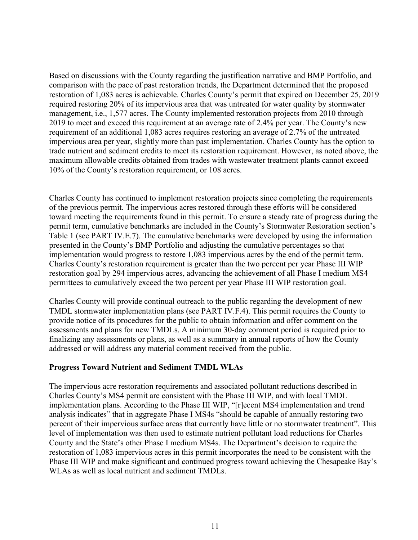Based on discussions with the County regarding the justification narrative and BMP Portfolio, and comparison with the pace of past restoration trends, the Department determined that the proposed restoration of 1,083 acres is achievable. Charles County's permit that expired on December 25, 2019 required restoring 20% of its impervious area that was untreated for water quality by stormwater management, i.e., 1,577 acres. The County implemented restoration projects from 2010 through 2019 to meet and exceed this requirement at an average rate of 2.4% per year. The County's new requirement of an additional 1,083 acres requires restoring an average of 2.7% of the untreated impervious area per year, slightly more than past implementation. Charles County has the option to trade nutrient and sediment credits to meet its restoration requirement. However, as noted above, the maximum allowable credits obtained from trades with wastewater treatment plants cannot exceed 10% of the County's restoration requirement, or 108 acres.

Charles County has continued to implement restoration projects since completing the requirements of the previous permit. The impervious acres restored through these efforts will be considered toward meeting the requirements found in this permit. To ensure a steady rate of progress during the permit term, cumulative benchmarks are included in the County's Stormwater Restoration section's Table 1 (see PART IV.E.7). The cumulative benchmarks were developed by using the information presented in the County's BMP Portfolio and adjusting the cumulative percentages so that implementation would progress to restore 1,083 impervious acres by the end of the permit term. Charles County's restoration requirement is greater than the two percent per year Phase III WIP restoration goal by 294 impervious acres, advancing the achievement of all Phase I medium MS4 permittees to cumulatively exceed the two percent per year Phase III WIP restoration goal.

Charles County will provide continual outreach to the public regarding the development of new TMDL stormwater implementation plans (see PART IV.F.4). This permit requires the County to provide notice of its procedures for the public to obtain information and offer comment on the assessments and plans for new TMDLs. A minimum 30-day comment period is required prior to finalizing any assessments or plans, as well as a summary in annual reports of how the County addressed or will address any material comment received from the public.

# **Progress Toward Nutrient and Sediment TMDL WLAs**

The impervious acre restoration requirements and associated pollutant reductions described in Charles County's MS4 permit are consistent with the Phase III WIP, and with local TMDL implementation plans. According to the Phase III WIP, "[r]ecent MS4 implementation and trend analysis indicates" that in aggregate Phase I MS4s "should be capable of annually restoring two percent of their impervious surface areas that currently have little or no stormwater treatment". This level of implementation was then used to estimate nutrient pollutant load reductions for Charles County and the State's other Phase I medium MS4s. The Department's decision to require the restoration of 1,083 impervious acres in this permit incorporates the need to be consistent with the Phase III WIP and make significant and continued progress toward achieving the Chesapeake Bay's WLAs as well as local nutrient and sediment TMDLs.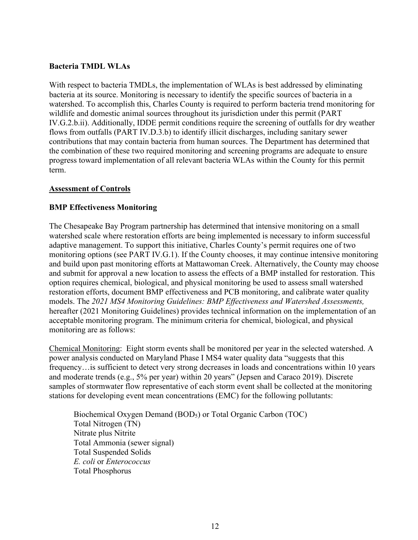### **Bacteria TMDL WLAs**

With respect to bacteria TMDLs, the implementation of WLAs is best addressed by eliminating bacteria at its source. Monitoring is necessary to identify the specific sources of bacteria in a watershed. To accomplish this, Charles County is required to perform bacteria trend monitoring for wildlife and domestic animal sources throughout its jurisdiction under this permit (PART IV.G.2.b.ii). Additionally, IDDE permit conditions require the screening of outfalls for dry weather flows from outfalls (PART IV.D.3.b) to identify illicit discharges, including sanitary sewer contributions that may contain bacteria from human sources. The Department has determined that the combination of these two required monitoring and screening programs are adequate to ensure progress toward implementation of all relevant bacteria WLAs within the County for this permit term.

### **Assessment of Controls**

### **BMP Effectiveness Monitoring**

The Chesapeake Bay Program partnership has determined that intensive monitoring on a small watershed scale where restoration efforts are being implemented is necessary to inform successful adaptive management. To support this initiative, Charles County's permit requires one of two monitoring options (see PART IV.G.1). If the County chooses, it may continue intensive monitoring and build upon past monitoring efforts at Mattawoman Creek. Alternatively, the County may choose and submit for approval a new location to assess the effects of a BMP installed for restoration. This option requires chemical, biological, and physical monitoring be used to assess small watershed restoration efforts, document BMP effectiveness and PCB monitoring, and calibrate water quality models. The *2021 MS4 Monitoring Guidelines: BMP Effectiveness and Watershed Assessments,* hereafter (2021 Monitoring Guidelines) provides technical information on the implementation of an acceptable monitoring program. The minimum criteria for chemical, biological, and physical monitoring are as follows:

Chemical Monitoring: Eight storm events shall be monitored per year in the selected watershed. A power analysis conducted on Maryland Phase I MS4 water quality data "suggests that this frequency…is sufficient to detect very strong decreases in loads and concentrations within 10 years and moderate trends (e.g., 5% per year) within 20 years" (Jepsen and Caraco 2019). Discrete samples of stormwater flow representative of each storm event shall be collected at the monitoring stations for developing event mean concentrations (EMC) for the following pollutants:

Biochemical Oxygen Demand (BOD5) or Total Organic Carbon (TOC) Total Nitrogen (TN) Nitrate plus Nitrite Total Ammonia (sewer signal) Total Suspended Solids *E. coli* or *Enterococcus*  Total Phosphorus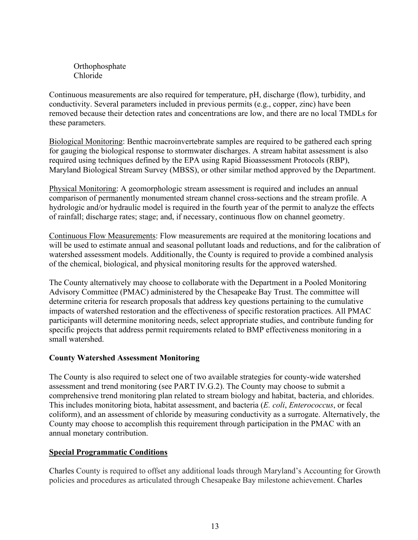Orthophosphate Chloride

Continuous measurements are also required for temperature, pH, discharge (flow), turbidity, and conductivity. Several parameters included in previous permits (e.g., copper, zinc) have been removed because their detection rates and concentrations are low, and there are no local TMDLs for these parameters.

Biological Monitoring: Benthic macroinvertebrate samples are required to be gathered each spring for gauging the biological response to stormwater discharges. A stream habitat assessment is also required using techniques defined by the EPA using Rapid Bioassessment Protocols (RBP), Maryland Biological Stream Survey (MBSS), or other similar method approved by the Department.

Physical Monitoring: A geomorphologic stream assessment is required and includes an annual comparison of permanently monumented stream channel cross-sections and the stream profile. A hydrologic and/or hydraulic model is required in the fourth year of the permit to analyze the effects of rainfall; discharge rates; stage; and, if necessary, continuous flow on channel geometry.

Continuous Flow Measurements: Flow measurements are required at the monitoring locations and will be used to estimate annual and seasonal pollutant loads and reductions, and for the calibration of watershed assessment models. Additionally, the County is required to provide a combined analysis of the chemical, biological, and physical monitoring results for the approved watershed.

The County alternatively may choose to collaborate with the Department in a Pooled Monitoring Advisory Committee (PMAC) administered by the Chesapeake Bay Trust. The committee will determine criteria for research proposals that address key questions pertaining to the cumulative impacts of watershed restoration and the effectiveness of specific restoration practices. All PMAC participants will determine monitoring needs, select appropriate studies, and contribute funding for specific projects that address permit requirements related to BMP effectiveness monitoring in a small watershed.

# **County Watershed Assessment Monitoring**

The County is also required to select one of two available strategies for county-wide watershed assessment and trend monitoring (see PART IV.G.2). The County may choose to submit a comprehensive trend monitoring plan related to stream biology and habitat, bacteria, and chlorides. This includes monitoring biota, habitat assessment, and bacteria (*E. coli*, *Enterococcus*, or fecal coliform), and an assessment of chloride by measuring conductivity as a surrogate. Alternatively, the County may choose to accomplish this requirement through participation in the PMAC with an annual monetary contribution.

# **Special Programmatic Conditions**

Charles County is required to offset any additional loads through Maryland's Accounting for Growth policies and procedures as articulated through Chesapeake Bay milestone achievement. Charles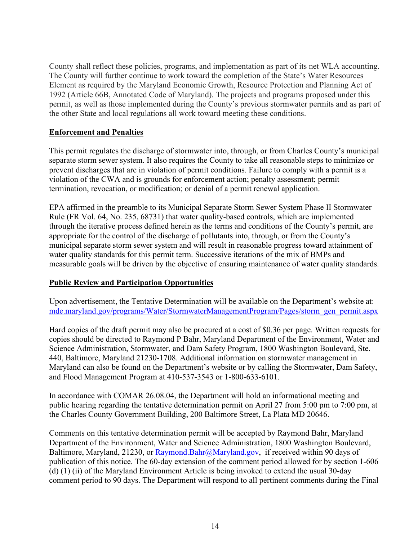County shall reflect these policies, programs, and implementation as part of its net WLA accounting. The County will further continue to work toward the completion of the State's Water Resources Element as required by the Maryland Economic Growth, Resource Protection and Planning Act of 1992 (Article 66B, Annotated Code of Maryland). The projects and programs proposed under this permit, as well as those implemented during the County's previous stormwater permits and as part of the other State and local regulations all work toward meeting these conditions.

# **Enforcement and Penalties**

This permit regulates the discharge of stormwater into, through, or from Charles County's municipal separate storm sewer system. It also requires the County to take all reasonable steps to minimize or prevent discharges that are in violation of permit conditions. Failure to comply with a permit is a violation of the CWA and is grounds for enforcement action; penalty assessment; permit termination, revocation, or modification; or denial of a permit renewal application.

EPA affirmed in the preamble to its Municipal Separate Storm Sewer System Phase II Stormwater Rule (FR Vol. 64, No. 235, 68731) that water quality-based controls, which are implemented through the iterative process defined herein as the terms and conditions of the County's permit, are appropriate for the control of the discharge of pollutants into, through, or from the County's municipal separate storm sewer system and will result in reasonable progress toward attainment of water quality standards for this permit term. Successive iterations of the mix of BMPs and measurable goals will be driven by the objective of ensuring maintenance of water quality standards.

# **Public Review and Participation Opportunities**

Upon advertisement, the Tentative Determination will be available on the Department's website at: [mde.maryland.gov/programs/Water/StormwaterManagementProgram/Pages/storm\\_gen\\_permit.aspx](mde.maryland.gov/programs/Water/StormwaterManagementProgram/Pages/storm_gen_permit.aspx)

Hard copies of the draft permit may also be procured at a cost of \$0.36 per page. Written requests for copies should be directed to Raymond P Bahr, Maryland Department of the Environment, Water and Science Administration, Stormwater, and Dam Safety Program, 1800 Washington Boulevard, Ste. 440, Baltimore, Maryland 21230-1708. Additional information on stormwater management in Maryland can also be found on the Department's website or by calling the Stormwater, Dam Safety, and Flood Management Program at 410-537-3543 or 1-800-633-6101.

In accordance with COMAR 26.08.04, the Department will hold an informational meeting and public hearing regarding the tentative determination permit on April 27 from 5:00 pm to 7:00 pm, at the Charles County Government Building, 200 Baltimore Street, La Plata MD 20646.

Comments on this tentative determination permit will be accepted by Raymond Bahr, Maryland Department of the Environment, Water and Science Administration, 1800 Washington Boulevard, Baltimore, Maryland, 21230, or [Raymond.Bahr@Maryland.gov,](mailto:Raymond.Bahr@Maryland.gov) if received within 90 days of publication of this notice. The 60-day extension of the comment period allowed for by section 1-606 (d) (1) (ii) of the Maryland Environment Article is being invoked to extend the usual 30-day comment period to 90 days. The Department will respond to all pertinent comments during the Final